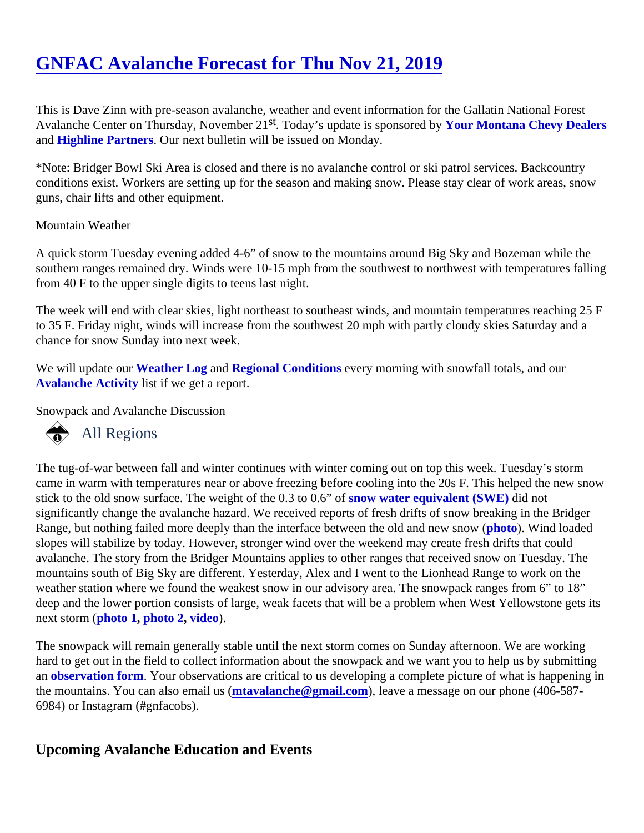# [GNFAC Avalanche Forecast for Thu Nov 21, 201](https://www.mtavalanche.com/forecast/19/11/21)9

This is Dave Zinn with pre-season avalanche, weather and event information for the Gallatin National Forest Avalanche Center on Thursday, November<sup>t</sup>. 21 noday's update is sponsored by ur Montana Chevy Dealers an[d Highline Partners](http://highline-partners.com/). Our next bulletin will be issued on Monday.

\*Note: Bridger Bowl Ski Area is closed and there is no avalanche control or ski patrol services. Backcountry conditions exist. Workers are setting up for the season and making snow. Please stay clear of work areas, snow guns, chair lifts and other equipment.

## Mountain Weather

A quick storm Tuesday evening added 4-6" of snow to the mountains around Big Sky and Bozeman while the southern ranges remained dry. Winds were 10-15 mph from the southwest to northwest with temperatures fall from 40 F to the upper single digits to teens last night.

The week will end with clear skies, light northeast to southeast winds, and mountain temperatures reaching 2 to 35 F. Friday night, winds will increase from the southwest 20 mph with partly cloudy skies Saturday and a chance for snow Sunday into next week.

We will update out Weather Log an[d Regional Conditions](https://www.mtavalanche.com/forecast/bridgers) every morning with snowfall totals, and our [Avalanche Activity](https://www.mtavalanche.com/avalanche-activity) list if we get a report.

Snowpack and Avalanche Discussion

# All Regions

The tug-of-war between fall and winter continues with winter coming out on top this week. Tuesday's storm came in warm with temperatures near or above freezing before cooling into the 20s F. This helped the new snow stick to the old snow surface. The weight of the 0.3 to 0.6" how water equivalent (SWE) did not significantly change the avalanche hazard. We received reports of fresh drifts of snow breaking in the Bridger Range, but nothing failed more deeply than the interface between the old and new sotow Wind loaded slopes will stabilize by today. However, stronger wind over the weekend may create fresh drifts that could avalanche. The story from the Bridger Mountains applies to other ranges that received snow on Tuesday. The mountains south of Big Sky are different. Yesterday, Alex and I went to the Lionhead Range to work on the weather station where we found the weakest snow in our advisory area. The snowpack ranges from 6" to 18" deep and the lower portion consists of large, weak facets that will be a problem when West Yellowstone gets next storm photo 1, [photo 2,](https://www.mtavalanche.com/images/19/coverage-lionhead-thin) [video](https://www.youtube.com/watch?v=i6DWvLU0Eks&list=PLXu5151nmAvSbcbVfoR785MxkqkNVy8Pp&index=2&t=0s)).

The snowpack will remain generally stable until the next storm comes on Sunday afternoon. We are working hard to get out in the field to collect information about the snowpack and we want you to help us by submitting an [observation form.](https://www.mtavalanche.com/node/add/snow_observation) Your observations are critical to us developing a complete picture of what is happening in the mountains. You can also email us (valanche@gmail.com), leave a message on our phone (406-587-6984) or Instagram (#gnfacobs).

Upcoming Avalanche Education and Events